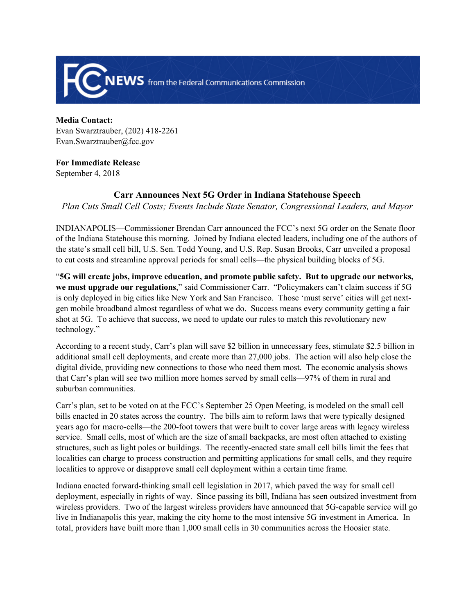

**Media Contact:** Evan Swarztrauber, (202) 418-2261 Evan.Swarztrauber@fcc.gov

## **For Immediate Release**

September 4, 2018

## **Carr Announces Next 5G Order in Indiana Statehouse Speech**

*Plan Cuts Small Cell Costs; Events Include State Senator, Congressional Leaders, and Mayor*

INDIANAPOLIS—Commissioner Brendan Carr announced the FCC's next 5G order on the Senate floor of the Indiana Statehouse this morning. Joined by Indiana elected leaders, including one of the authors of the state's small cell bill, U.S. Sen. Todd Young, and U.S. Rep. Susan Brooks, Carr unveiled a proposal to cut costs and streamline approval periods for small cells—the physical building blocks of 5G.

"**5G will create jobs, improve education, and promote public safety. But to upgrade our networks, we must upgrade our regulations**," said Commissioner Carr. "Policymakers can't claim success if 5G is only deployed in big cities like New York and San Francisco. Those 'must serve' cities will get nextgen mobile broadband almost regardless of what we do. Success means every community getting a fair shot at 5G. To achieve that success, we need to update our rules to match this revolutionary new technology."

According to a recent study, Carr's plan will save \$2 billion in unnecessary fees, stimulate \$2.5 billion in additional small cell deployments, and create more than 27,000 jobs. The action will also help close the digital divide, providing new connections to those who need them most. The economic analysis shows that Carr's plan will see two million more homes served by small cells—97% of them in rural and suburban communities.

Carr's plan, set to be voted on at the FCC's September 25 Open Meeting, is modeled on the small cell bills enacted in 20 states across the country. The bills aim to reform laws that were typically designed years ago for macro-cells—the 200-foot towers that were built to cover large areas with legacy wireless service. Small cells, most of which are the size of small backpacks, are most often attached to existing structures, such as light poles or buildings. The recently-enacted state small cell bills limit the fees that localities can charge to process construction and permitting applications for small cells, and they require localities to approve or disapprove small cell deployment within a certain time frame.

Indiana enacted forward-thinking small cell legislation in 2017, which paved the way for small cell deployment, especially in rights of way. Since passing its bill, Indiana has seen outsized investment from wireless providers. Two of the largest wireless providers have announced that 5G-capable service will go live in Indianapolis this year, making the city home to the most intensive 5G investment in America. In total, providers have built more than 1,000 small cells in 30 communities across the Hoosier state.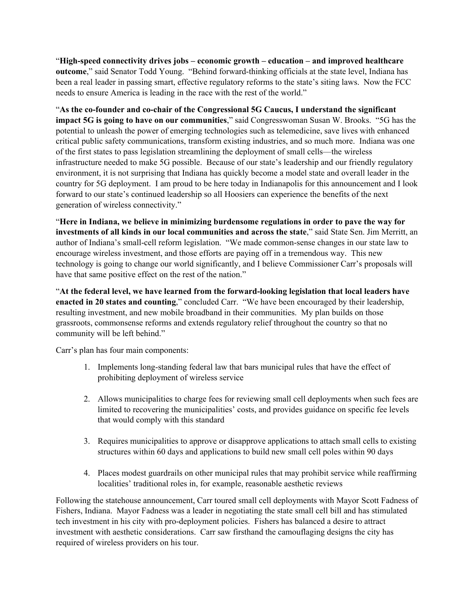"**High-speed connectivity drives jobs – economic growth – education – and improved healthcare outcome**," said Senator Todd Young. "Behind forward-thinking officials at the state level, Indiana has been a real leader in passing smart, effective regulatory reforms to the state's siting laws. Now the FCC needs to ensure America is leading in the race with the rest of the world."

"**As the co-founder and co-chair of the Congressional 5G Caucus, I understand the significant impact 5G is going to have on our communities**," said Congresswoman Susan W. Brooks. "5G has the potential to unleash the power of emerging technologies such as telemedicine, save lives with enhanced critical public safety communications, transform existing industries, and so much more. Indiana was one of the first states to pass legislation streamlining the deployment of small cells—the wireless infrastructure needed to make 5G possible. Because of our state's leadership and our friendly regulatory environment, it is not surprising that Indiana has quickly become a model state and overall leader in the country for 5G deployment. I am proud to be here today in Indianapolis for this announcement and I look forward to our state's continued leadership so all Hoosiers can experience the benefits of the next generation of wireless connectivity."

"**Here in Indiana, we believe in minimizing burdensome regulations in order to pave the way for investments of all kinds in our local communities and across the state**," said State Sen. Jim Merritt, an author of Indiana's small-cell reform legislation. "We made common-sense changes in our state law to encourage wireless investment, and those efforts are paying off in a tremendous way. This new technology is going to change our world significantly, and I believe Commissioner Carr's proposals will have that same positive effect on the rest of the nation."

"**At the federal level, we have learned from the forward-looking legislation that local leaders have enacted in 20 states and counting**," concluded Carr. "We have been encouraged by their leadership, resulting investment, and new mobile broadband in their communities. My plan builds on those grassroots, commonsense reforms and extends regulatory relief throughout the country so that no community will be left behind."

Carr's plan has four main components:

- 1. Implements long-standing federal law that bars municipal rules that have the effect of prohibiting deployment of wireless service
- 2. Allows municipalities to charge fees for reviewing small cell deployments when such fees are limited to recovering the municipalities' costs, and provides guidance on specific fee levels that would comply with this standard
- 3. Requires municipalities to approve or disapprove applications to attach small cells to existing structures within 60 days and applications to build new small cell poles within 90 days
- 4. Places modest guardrails on other municipal rules that may prohibit service while reaffirming localities' traditional roles in, for example, reasonable aesthetic reviews

Following the statehouse announcement, Carr toured small cell deployments with Mayor Scott Fadness of Fishers, Indiana. Mayor Fadness was a leader in negotiating the state small cell bill and has stimulated tech investment in his city with pro-deployment policies. Fishers has balanced a desire to attract investment with aesthetic considerations. Carr saw firsthand the camouflaging designs the city has required of wireless providers on his tour.